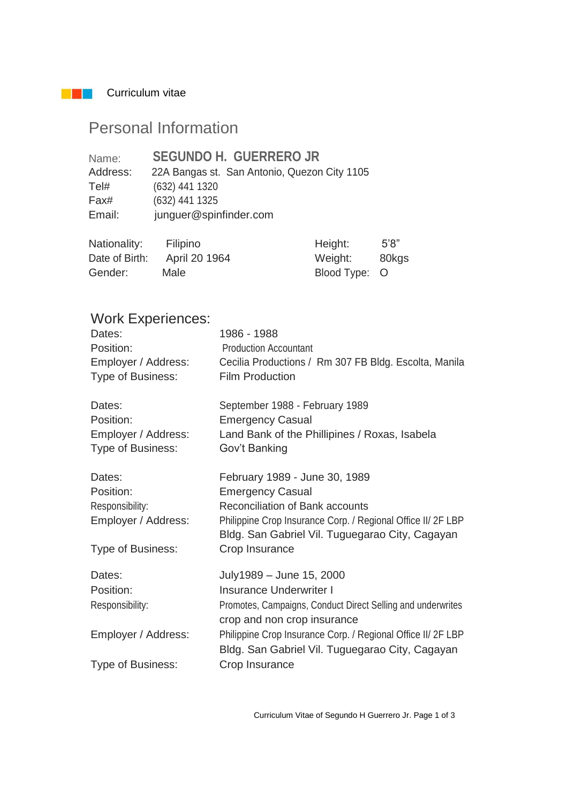**Curriculum vitae** 

# Personal Information

| Name:    | <b>SEGUNDO H. GUERRERO JR</b>                |
|----------|----------------------------------------------|
| Address: | 22A Bangas st. San Antonio, Quezon City 1105 |
| Tel#     | (632) 441 1320                               |
| Fax#     | (632) 441 1325                               |
| Email:   | junguer@spinfinder.com                       |

| Nationality:   | Filipino      | Height:       | 5'8'' |
|----------------|---------------|---------------|-------|
| Date of Birth: | April 20 1964 | Weight:       | 80kgs |
| Gender:        | Male          | Blood Type: O |       |

## Work Experiences:

| Dates:<br>Position:<br>Employer / Address:<br>Type of Business: | 1986 - 1988<br><b>Production Accountant</b><br>Cecilia Productions / Rm 307 FB Bldg. Escolta, Manila<br><b>Film Production</b> |
|-----------------------------------------------------------------|--------------------------------------------------------------------------------------------------------------------------------|
| Dates:                                                          | September 1988 - February 1989                                                                                                 |
| Position:                                                       | <b>Emergency Casual</b>                                                                                                        |
| Employer / Address:<br>Type of Business:                        | Land Bank of the Phillipines / Roxas, Isabela<br>Gov't Banking                                                                 |
| Dates:                                                          | February 1989 - June 30, 1989                                                                                                  |
| Position:                                                       | <b>Emergency Casual</b>                                                                                                        |
| Responsibility:                                                 | <b>Reconciliation of Bank accounts</b>                                                                                         |
| Employer / Address:                                             | Philippine Crop Insurance Corp. / Regional Office II/ 2F LBP<br>Bldg. San Gabriel Vil. Tuguegarao City, Cagayan                |
| Type of Business:                                               | Crop Insurance                                                                                                                 |
| Dates:                                                          | July1989 - June 15, 2000                                                                                                       |
| Position:                                                       | <b>Insurance Underwriter I</b>                                                                                                 |
| Responsibility:                                                 | Promotes, Campaigns, Conduct Direct Selling and underwrites<br>crop and non crop insurance                                     |
| Employer / Address:                                             | Philippine Crop Insurance Corp. / Regional Office II/ 2F LBP<br>Bldg. San Gabriel Vil. Tuguegarao City, Cagayan                |
| Type of Business:                                               | Crop Insurance                                                                                                                 |

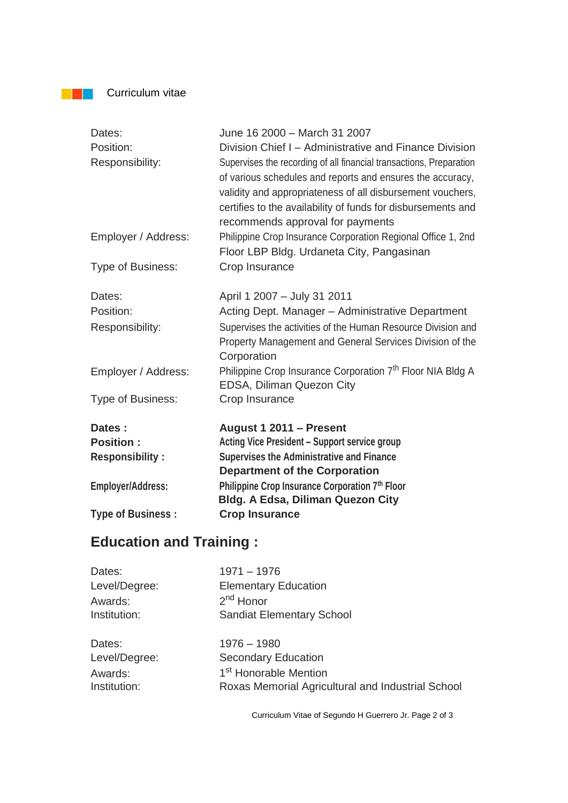**Curriculum vitae** 

| Dates:                   | June 16 2000 - March 31 2007                                           |
|--------------------------|------------------------------------------------------------------------|
| Position:                | Division Chief I – Administrative and Finance Division                 |
| Responsibility:          | Supervises the recording of all financial transactions, Preparation    |
|                          | of various schedules and reports and ensures the accuracy,             |
|                          | validity and appropriateness of all disbursement vouchers,             |
|                          | certifies to the availability of funds for disbursements and           |
|                          | recommends approval for payments                                       |
| Employer / Address:      | Philippine Crop Insurance Corporation Regional Office 1, 2nd           |
|                          | Floor LBP Bldg. Urdaneta City, Pangasinan                              |
| Type of Business:        | Crop Insurance                                                         |
| Dates:                   | April 1 2007 - July 31 2011                                            |
| Position:                | Acting Dept. Manager - Administrative Department                       |
| Responsibility:          | Supervises the activities of the Human Resource Division and           |
|                          | Property Management and General Services Division of the               |
|                          | Corporation                                                            |
| Employer / Address:      | Philippine Crop Insurance Corporation 7 <sup>th</sup> Floor NIA Bldg A |
|                          | EDSA, Diliman Quezon City                                              |
| Type of Business:        | Crop Insurance                                                         |
| Dates:                   | August 1 2011 - Present                                                |
| <b>Position:</b>         | <b>Acting Vice President - Support service group</b>                   |
| <b>Responsibility:</b>   | <b>Supervises the Administrative and Finance</b>                       |
|                          | <b>Department of the Corporation</b>                                   |
| <b>Employer/Address:</b> | Philippine Crop Insurance Corporation 7th Floor                        |
|                          | <b>Bldg. A Edsa, Diliman Quezon City</b>                               |
| <b>Type of Business:</b> | <b>Crop Insurance</b>                                                  |

## **Education and Training :**

| Dates:        | $1971 - 1976$                                     |
|---------------|---------------------------------------------------|
| Level/Degree: | <b>Elementary Education</b>                       |
| Awards:       | $2nd$ Honor                                       |
| Institution:  | <b>Sandiat Elementary School</b>                  |
| Dates:        | $1976 - 1980$                                     |
| Level/Degree: | <b>Secondary Education</b>                        |
| Awards:       | 1 <sup>st</sup> Honorable Mention                 |
| Institution:  | Roxas Memorial Agricultural and Industrial School |

Curriculum Vitae of Segundo H Guerrero Jr. Page 2 of 3